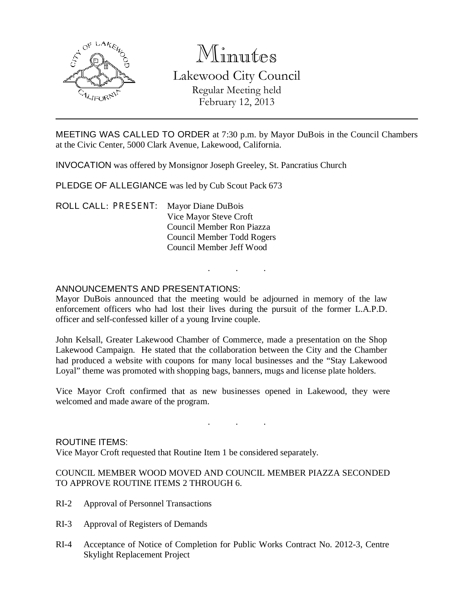

# Minutes

# Lakewood City Council Regular Meeting held February 12, 2013

MEETING WAS CALLED TO ORDER at 7:30 p.m. by Mayor DuBois in the Council Chambers at the Civic Center, 5000 Clark Avenue, Lakewood, California.

INVOCATION was offered by Monsignor Joseph Greeley, St. Pancratius Church

PLEDGE OF ALLEGIANCE was led by Cub Scout Pack 673

ROLL CALL: PRESENT: Mayor Diane DuBois Vice Mayor Steve Croft Council Member Ron Piazza Council Member Todd Rogers Council Member Jeff Wood

# ANNOUNCEMENTS AND PRESENTATIONS:

Mayor DuBois announced that the meeting would be adjourned in memory of the law enforcement officers who had lost their lives during the pursuit of the former L.A.P.D. officer and self-confessed killer of a young Irvine couple.

. . .

John Kelsall, Greater Lakewood Chamber of Commerce, made a presentation on the Shop Lakewood Campaign. He stated that the collaboration between the City and the Chamber had produced a website with coupons for many local businesses and the "Stay Lakewood Loyal" theme was promoted with shopping bags, banners, mugs and license plate holders.

Vice Mayor Croft confirmed that as new businesses opened in Lakewood, they were welcomed and made aware of the program.

. . .

ROUTINE ITEMS: Vice Mayor Croft requested that Routine Item 1 be considered separately.

# COUNCIL MEMBER WOOD MOVED AND COUNCIL MEMBER PIAZZA SECONDED TO APPROVE ROUTINE ITEMS 2 THROUGH 6.

- RI-2 Approval of Personnel Transactions
- RI-3 Approval of Registers of Demands
- RI-4 Acceptance of Notice of Completion for Public Works Contract No. 2012-3, Centre Skylight Replacement Project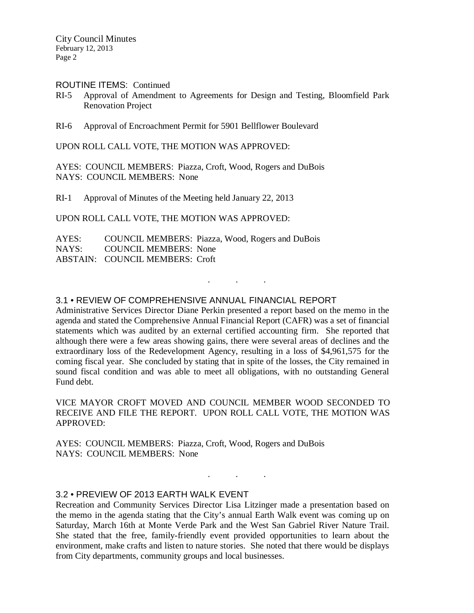City Council Minutes February 12, 2013 Page 2

#### ROUTINE ITEMS: Continued

- RI-5 Approval of Amendment to Agreements for Design and Testing, Bloomfield Park Renovation Project
- RI-6 Approval of Encroachment Permit for 5901 Bellflower Boulevard

UPON ROLL CALL VOTE, THE MOTION WAS APPROVED:

AYES: COUNCIL MEMBERS: Piazza, Croft, Wood, Rogers and DuBois NAYS: COUNCIL MEMBERS: None

RI-1 Approval of Minutes of the Meeting held January 22, 2013

UPON ROLL CALL VOTE, THE MOTION WAS APPROVED:

AYES: COUNCIL MEMBERS: Piazza, Wood, Rogers and DuBois NAYS: COUNCIL MEMBERS: None ABSTAIN: COUNCIL MEMBERS: Croft

# 3.1 • REVIEW OF COMPREHENSIVE ANNUAL FINANCIAL REPORT

Administrative Services Director Diane Perkin presented a report based on the memo in the agenda and stated the Comprehensive Annual Financial Report (CAFR) was a set of financial statements which was audited by an external certified accounting firm. She reported that although there were a few areas showing gains, there were several areas of declines and the extraordinary loss of the Redevelopment Agency, resulting in a loss of \$4,961,575 for the coming fiscal year. She concluded by stating that in spite of the losses, the City remained in sound fiscal condition and was able to meet all obligations, with no outstanding General Fund debt.

. . .

VICE MAYOR CROFT MOVED AND COUNCIL MEMBER WOOD SECONDED TO RECEIVE AND FILE THE REPORT. UPON ROLL CALL VOTE, THE MOTION WAS APPROVED:

AYES: COUNCIL MEMBERS: Piazza, Croft, Wood, Rogers and DuBois NAYS: COUNCIL MEMBERS: None

# 3.2 • PREVIEW OF 2013 EARTH WALK EVENT

Recreation and Community Services Director Lisa Litzinger made a presentation based on the memo in the agenda stating that the City's annual Earth Walk event was coming up on Saturday, March 16th at Monte Verde Park and the West San Gabriel River Nature Trail. She stated that the free, family-friendly event provided opportunities to learn about the environment, make crafts and listen to nature stories. She noted that there would be displays from City departments, community groups and local businesses.

. . .